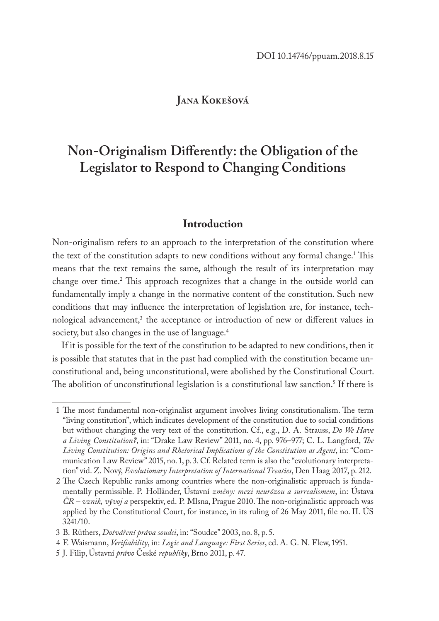# **Jana Kokešová**

# **Non-Originalism Differently: the Obligation of the Legislator to Respond to Changing Conditions**

## **Introduction**

Non-originalism refers to an approach to the interpretation of the constitution where the text of the constitution adapts to new conditions without any formal change.<sup>1</sup> This means that the text remains the same, although the result of its interpretation may change over time.<sup>2</sup> This approach recognizes that a change in the outside world can fundamentally imply a change in the normative content of the constitution. Such new conditions that may influence the interpretation of legislation are, for instance, technological advancement,<sup>3</sup> the acceptance or introduction of new or different values in society, but also changes in the use of language.<sup>4</sup>

If it is possible for the text of the constitution to be adapted to new conditions, then it is possible that statutes that in the past had complied with the constitution became unconstitutional and, being unconstitutional, were abolished by the Constitutional Court. The abolition of unconstitutional legislation is a constitutional law sanction.5 If there is

<sup>1</sup> The most fundamental non-originalist argument involves living constitutionalism. The term "living constitution", which indicates development of the constitution due to social conditions but without changing the very text of the constitution. Cf., e.g., D. A. Strauss, *Do We Have a Living Constitution?*, in: "Drake Law Review" 2011, no. 4, pp. 976–977; C. L. Langford, *The Living Constitution: Origins and Rhetorical Implications of the Constitution as Agent*, in: "Communication Law Review" 2015, no. 1, p. 3. Cf. Related term is also the "evolutionary interpretation" vid. Z. Nový, *Evolutionary Interpretation of International Treaties*, Den Haag 2017, p. 212.

<sup>2</sup> The Czech Republic ranks among countries where the non-originalistic approach is fundamentally permissible. P. Holländer, Ústavní *změny: mezi neurózou a surrealismem*, in: Ústava *ČR – vznik, vývoj a* perspektiv, ed. P. Mlsna, Prague 2010. The non-originalistic approach was applied by the Constitutional Court, for instance, in its ruling of 26 May 2011, file no. II. ÚS 3241/10.

<sup>3</sup> B. Rüthers, *Dotváření práva soudci*, in: "Soudce" 2003, no. 8, p. 5.

<sup>4</sup> F. Waismann, *Verifiability*, in: *Logic and Language: First Series*, ed. A. G. N. Flew, 1951.

<sup>5</sup> J. Filip, Ústavní *právo* České *republiky*, Brno 2011, p. 47.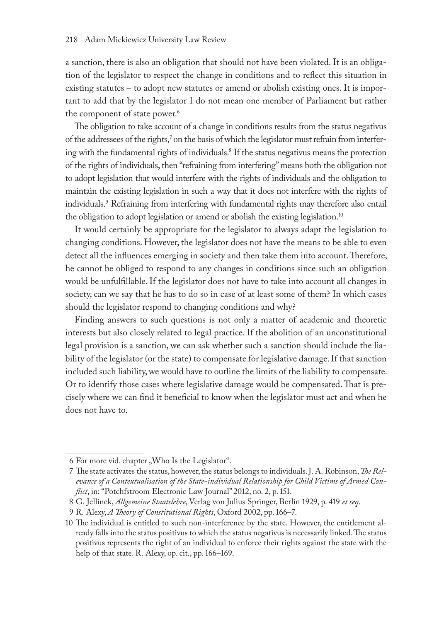#### 218 | Adam Mickiewicz University Law Review

a sanction, there is also an obligation that should not have been violated. It is an obligation of the legislator to respect the change in conditions and to reflect this situation in existing statutes – to adopt new statutes or amend or abolish existing ones. It is important to add that by the legislator I do not mean one member of Parliament but rather the component of state power.<sup>6</sup>

The obligation to take account of a change in conditions results from the status negativus of the addressees of the rights, $\delta$  on the basis of which the legislator must refrain from interfering with the fundamental rights of individuals.8 If the status negativus means the protection of the rights of individuals, then "refraining from interfering" means both the obligation not to adopt legislation that would interfere with the rights of individuals and the obligation to maintain the existing legislation in such a way that it does not interfere with the rights of individuals.9 Refraining from interfering with fundamental rights may therefore also entail the obligation to adopt legislation or amend or abolish the existing legislation.10

It would certainly be appropriate for the legislator to always adapt the legislation to changing conditions. However, the legislator does not have the means to be able to even detect all the influences emerging in society and then take them into account. Therefore, he cannot be obliged to respond to any changes in conditions since such an obligation would be unfulfillable. If the legislator does not have to take into account all changes in society, can we say that he has to do so in case of at least some of them? In which cases should the legislator respond to changing conditions and why?

Finding answers to such questions is not only a matter of academic and theoretic interests but also closely related to legal practice. If the abolition of an unconstitutional legal provision is a sanction, we can ask whether such a sanction should include the liability of the legislator (or the state) to compensate for legislative damage. If that sanction included such liability, we would have to outline the limits of the liability to compensate. Or to identify those cases where legislative damage would be compensated. That is precisely where we can find it beneficial to know when the legislator must act and when he does not have to.

<sup>6</sup> For more vid. chapter "Who Is the Legislator".

<sup>7</sup> The state activates the status, however, the status belongs to individuals. J. A. Robinson, *The Relevance of a Contextualisation of the State-individual Relationship for Child Victims of Armed Conflict*, in: "Potchfstroom Electronic Law Journal" 2012, no. 2, p. 151.

<sup>8</sup> G. Jellinek, *Allgemeine Staatslehre*, Verlag von Julius Springer, Berlin 1929, p. 419 *et seq*.

<sup>9</sup> R. Alexy, *A Theory of Constitutional Rights*, Oxford 2002, pp. 166–7.

<sup>10</sup> The individual is entitled to such non-interference by the state. However, the entitlement already falls into the status positivus to which the status negativus is necessarily linked. The status positivus represents the right of an individual to enforce their rights against the state with the help of that state. R. Alexy, op. cit., pp. 166–169.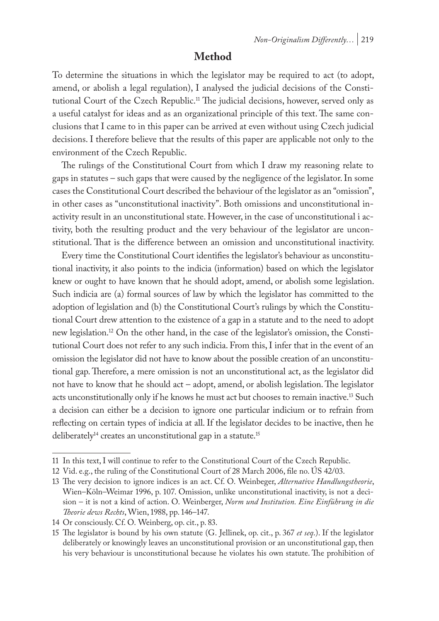# **Method**

To determine the situations in which the legislator may be required to act (to adopt, amend, or abolish a legal regulation), I analysed the judicial decisions of the Constitutional Court of the Czech Republic.11 The judicial decisions, however, served only as a useful catalyst for ideas and as an organizational principle of this text. The same conclusions that I came to in this paper can be arrived at even without using Czech judicial decisions. I therefore believe that the results of this paper are applicable not only to the environment of the Czech Republic.

The rulings of the Constitutional Court from which I draw my reasoning relate to gaps in statutes – such gaps that were caused by the negligence of the legislator. In some cases the Constitutional Court described the behaviour of the legislator as an "omission", in other cases as "unconstitutional inactivity". Both omissions and unconstitutional inactivity result in an unconstitutional state. However, in the case of unconstitutional i activity, both the resulting product and the very behaviour of the legislator are unconstitutional. That is the difference between an omission and unconstitutional inactivity.

Every time the Constitutional Court identifies the legislator's behaviour as unconstitutional inactivity, it also points to the indicia (information) based on which the legislator knew or ought to have known that he should adopt, amend, or abolish some legislation. Such indicia are (a) formal sources of law by which the legislator has committed to the adoption of legislation and (b) the Constitutional Court's rulings by which the Constitutional Court drew attention to the existence of a gap in a statute and to the need to adopt new legislation.12 On the other hand, in the case of the legislator's omission, the Constitutional Court does not refer to any such indicia. From this, I infer that in the event of an omission the legislator did not have to know about the possible creation of an unconstitutional gap. Therefore, a mere omission is not an unconstitutional act, as the legislator did not have to know that he should act – adopt, amend, or abolish legislation. The legislator acts unconstitutionally only if he knows he must act but chooses to remain inactive.13 Such a decision can either be a decision to ignore one particular indicium or to refrain from reflecting on certain types of indicia at all. If the legislator decides to be inactive, then he deliberately<sup>14</sup> creates an unconstitutional gap in a statute.<sup>15</sup>

<sup>11</sup> In this text, I will continue to refer to the Constitutional Court of the Czech Republic.

<sup>12</sup> Vid. e.g., the ruling of the Constitutional Court of 28 March 2006, file no. ÚS 42/03.

<sup>13</sup> The very decision to ignore indices is an act. Cf. O. Weinbeger, *Alternative Handlungstheorie*, Wien–Köln–Weimar 1996, p. 107. Omission, unlike unconstitutional inactivity, is not a decision – it is not a kind of action. O. Weinberger, *Norm und Institution. Eine Einführung in die Theorie dews Rechts*, Wien, 1988, pp. 146–147.

<sup>14</sup> Or consciously. Cf. O. Weinberg, op. cit., p. 83.

<sup>15</sup> The legislator is bound by his own statute (G. Jellinek, op. cit., p. 367 *et seq*.). If the legislator deliberately or knowingly leaves an unconstitutional provision or an unconstitutional gap, then his very behaviour is unconstitutional because he violates his own statute. The prohibition of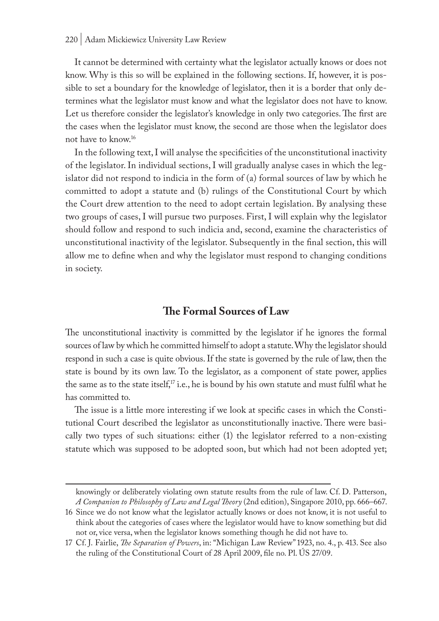It cannot be determined with certainty what the legislator actually knows or does not know. Why is this so will be explained in the following sections. If, however, it is possible to set a boundary for the knowledge of legislator, then it is a border that only determines what the legislator must know and what the legislator does not have to know. Let us therefore consider the legislator's knowledge in only two categories. The first are the cases when the legislator must know, the second are those when the legislator does not have to know.16

In the following text, I will analyse the specificities of the unconstitutional inactivity of the legislator. In individual sections, I will gradually analyse cases in which the legislator did not respond to indicia in the form of (a) formal sources of law by which he committed to adopt a statute and (b) rulings of the Constitutional Court by which the Court drew attention to the need to adopt certain legislation. By analysing these two groups of cases, I will pursue two purposes. First, I will explain why the legislator should follow and respond to such indicia and, second, examine the characteristics of unconstitutional inactivity of the legislator. Subsequently in the final section, this will allow me to define when and why the legislator must respond to changing conditions in society.

## **The Formal Sources of Law**

The unconstitutional inactivity is committed by the legislator if he ignores the formal sources of law by which he committed himself to adopt a statute. Why the legislator should respond in such a case is quite obvious. If the state is governed by the rule of law, then the state is bound by its own law. To the legislator, as a component of state power, applies the same as to the state itself,<sup>17</sup> i.e., he is bound by his own statute and must fulfil what he has committed to.

The issue is a little more interesting if we look at specific cases in which the Constitutional Court described the legislator as unconstitutionally inactive. There were basically two types of such situations: either (1) the legislator referred to a non-existing statute which was supposed to be adopted soon, but which had not been adopted yet;

knowingly or deliberately violating own statute results from the rule of law. Cf. D. Patterson, *A Companion to Philosophy of Law and Legal Theory* (2nd edition), Singapore 2010, pp. 666–667.

<sup>16</sup> Since we do not know what the legislator actually knows or does not know, it is not useful to think about the categories of cases where the legislator would have to know something but did not or, vice versa, when the legislator knows something though he did not have to.

<sup>17</sup> Cf. J. Fairlie, *The Separation of Powers*, in: "Michigan Law Review" 1923, no. 4., p. 413. See also the ruling of the Constitutional Court of 28 April 2009, file no. Pl. ÚS 27/09.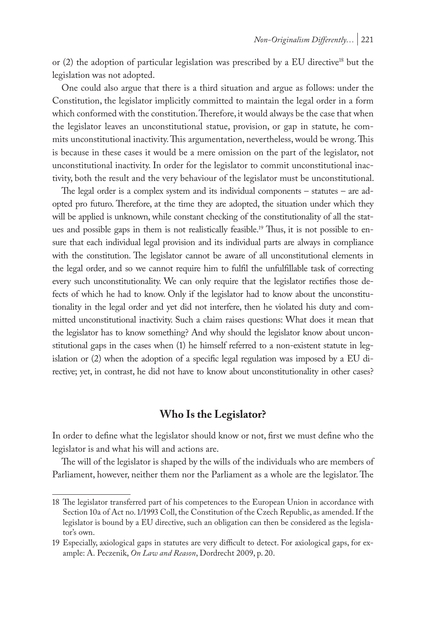or (2) the adoption of particular legislation was prescribed by a EU directive18 but the legislation was not adopted.

One could also argue that there is a third situation and argue as follows: under the Constitution, the legislator implicitly committed to maintain the legal order in a form which conformed with the constitution. Therefore, it would always be the case that when the legislator leaves an unconstitutional statue, provision, or gap in statute, he commits unconstitutional inactivity. This argumentation, nevertheless, would be wrong. This is because in these cases it would be a mere omission on the part of the legislator, not unconstitutional inactivity. In order for the legislator to commit unconstitutional inactivity, both the result and the very behaviour of the legislator must be unconstitutional.

The legal order is a complex system and its individual components – statutes – are adopted pro futuro. Therefore, at the time they are adopted, the situation under which they will be applied is unknown, while constant checking of the constitutionality of all the statues and possible gaps in them is not realistically feasible.<sup>19</sup> Thus, it is not possible to ensure that each individual legal provision and its individual parts are always in compliance with the constitution. The legislator cannot be aware of all unconstitutional elements in the legal order, and so we cannot require him to fulfil the unfulfillable task of correcting every such unconstitutionality. We can only require that the legislator rectifies those defects of which he had to know. Only if the legislator had to know about the unconstitutionality in the legal order and yet did not interfere, then he violated his duty and committed unconstitutional inactivity. Such a claim raises questions: What does it mean that the legislator has to know something? And why should the legislator know about unconstitutional gaps in the cases when (1) he himself referred to a non-existent statute in legislation or (2) when the adoption of a specific legal regulation was imposed by a EU directive; yet, in contrast, he did not have to know about unconstitutionality in other cases?

# **Who Is the Legislator?**

In order to define what the legislator should know or not, first we must define who the legislator is and what his will and actions are.

The will of the legislator is shaped by the wills of the individuals who are members of Parliament, however, neither them nor the Parliament as a whole are the legislator. The

<sup>18</sup> The legislator transferred part of his competences to the European Union in accordance with Section 10a of Act no. 1/1993 Coll, the Constitution of the Czech Republic, as amended. If the legislator is bound by a EU directive, such an obligation can then be considered as the legislator's own.

<sup>19</sup> Especially, axiological gaps in statutes are very difficult to detect. For axiological gaps, for example: A. Peczenik, *On Law and Reason*, Dordrecht 2009, p. 20.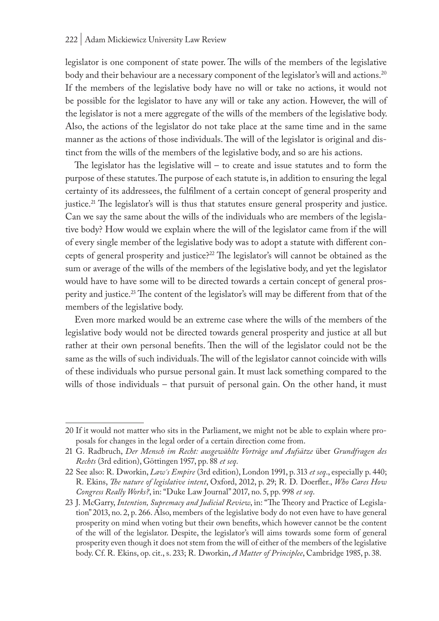legislator is one component of state power. The wills of the members of the legislative body and their behaviour are a necessary component of the legislator's will and actions.<sup>20</sup> If the members of the legislative body have no will or take no actions, it would not be possible for the legislator to have any will or take any action. However, the will of the legislator is not a mere aggregate of the wills of the members of the legislative body. Also, the actions of the legislator do not take place at the same time and in the same manner as the actions of those individuals. The will of the legislator is original and distinct from the wills of the members of the legislative body, and so are his actions.

The legislator has the legislative will – to create and issue statutes and to form the purpose of these statutes. The purpose of each statute is, in addition to ensuring the legal certainty of its addressees, the fulfilment of a certain concept of general prosperity and justice.21 The legislator's will is thus that statutes ensure general prosperity and justice. Can we say the same about the wills of the individuals who are members of the legislative body? How would we explain where the will of the legislator came from if the will of every single member of the legislative body was to adopt a statute with different concepts of general prosperity and justice?22 The legislator's will cannot be obtained as the sum or average of the wills of the members of the legislative body, and yet the legislator would have to have some will to be directed towards a certain concept of general prosperity and justice.<sup>23</sup> The content of the legislator's will may be different from that of the members of the legislative body.

Even more marked would be an extreme case where the wills of the members of the legislative body would not be directed towards general prosperity and justice at all but rather at their own personal benefits. Then the will of the legislator could not be the same as the wills of such individuals. The will of the legislator cannot coincide with wills of these individuals who pursue personal gain. It must lack something compared to the wills of those individuals – that pursuit of personal gain. On the other hand, it must

<sup>20</sup> If it would not matter who sits in the Parliament, we might not be able to explain where proposals for changes in the legal order of a certain direction come from.

<sup>21</sup> G. Radbruch, *Der Mensch im Recht: ausgewählte Vorträge und Aufsätze* über *Grundfragen des Rechts* (3rd edition), Göttingen 1957, pp. 88 *et seq*.

<sup>22</sup> See also: R. Dworkin, *Law´s Empire* (3rd edition), London 1991, p. 313 *et seq*., especially p. 440; R. Ekins, *The nature of legislative intent*, Oxford, 2012, p. 29; R. D. Doerfler., *Who Cares How Congress Really Works?*, in: "Duke Law Journal" 2017, no. 5, pp. 998 *et seq*.

<sup>23</sup> J. McGarry, *Intention, Supremacy and Judicial Review*, in: "The Theory and Practice of Legislation" 2013, no. 2, p. 266. Also, members of the legislative body do not even have to have general prosperity on mind when voting but their own benefits, which however cannot be the content of the will of the legislator. Despite, the legislator's will aims towards some form of general prosperity even though it does not stem from the will of either of the members of the legislative body. Cf. R. Ekins, op. cit., s. 233; R. Dworkin, *A Matter of Principlee*, Cambridge 1985, p. 38.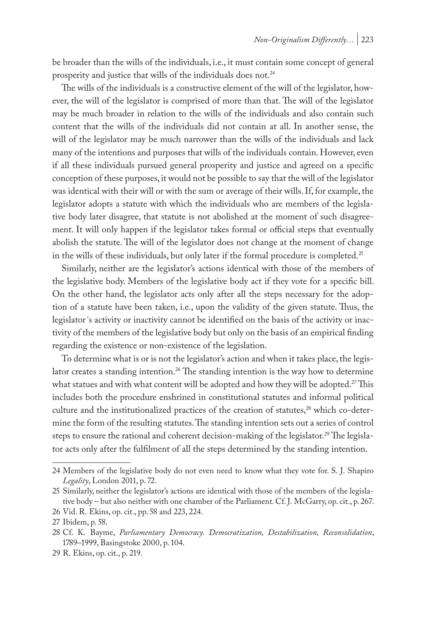be broader than the wills of the individuals, i.e., it must contain some concept of general prosperity and justice that wills of the individuals does not.<sup>24</sup>

The wills of the individuals is a constructive element of the will of the legislator, however, the will of the legislator is comprised of more than that. The will of the legislator may be much broader in relation to the wills of the individuals and also contain such content that the wills of the individuals did not contain at all. In another sense, the will of the legislator may be much narrower than the wills of the individuals and lack many of the intentions and purposes that wills of the individuals contain. However, even if all these individuals pursued general prosperity and justice and agreed on a specific conception of these purposes, it would not be possible to say that the will of the legislator was identical with their will or with the sum or average of their wills. If, for example, the legislator adopts a statute with which the individuals who are members of the legislative body later disagree, that statute is not abolished at the moment of such disagreement. It will only happen if the legislator takes formal or official steps that eventually abolish the statute. The will of the legislator does not change at the moment of change in the wills of these individuals, but only later if the formal procedure is completed.<sup>25</sup>

Similarly, neither are the legislator's actions identical with those of the members of the legislative body. Members of the legislative body act if they vote for a specific bill. On the other hand, the legislator acts only after all the steps necessary for the adoption of a statute have been taken, i.e., upon the validity of the given statute. Thus, the legislator´s activity or inactivity cannot be identified on the basis of the activity or inactivity of the members of the legislative body but only on the basis of an empirical finding regarding the existence or non-existence of the legislation.

To determine what is or is not the legislator's action and when it takes place, the legislator creates a standing intention.<sup>26</sup> The standing intention is the way how to determine what statues and with what content will be adopted and how they will be adopted.<sup>27</sup> This includes both the procedure enshrined in constitutional statutes and informal political culture and the institutionalized practices of the creation of statutes,<sup>28</sup> which co-determine the form of the resulting statutes. The standing intention sets out a series of control steps to ensure the rational and coherent decision-making of the legislator.<sup>29</sup> The legislator acts only after the fulfilment of all the steps determined by the standing intention.

<sup>24</sup> Members of the legislative body do not even need to know what they vote for. S. J. Shapiro *Legality*, London 2011, p. 72.

<sup>25</sup> Similarly, neither the legislator's actions are identical with those of the members of the legislative body – but also neither with one chamber of the Parliament. Cf. J. McGarry, op. cit., p. 267. 26 Vid. R. Ekins, op. cit., pp. 58 and 223, 224.

<sup>27</sup> Ibidem, p. 58.

<sup>28</sup> Cf. K. Bayme, *Parliamentary Democracy. Democratization, Destabilization, Reconsolidation*, 1789–1999, Basingstoke 2000, p. 104.

<sup>29</sup> R. Ekins, op. cit., p. 219.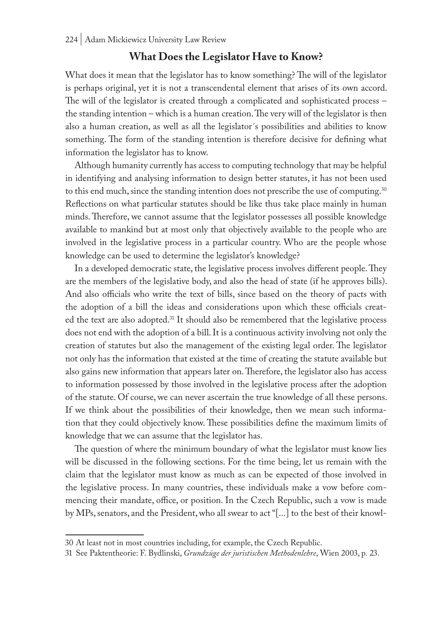# **What Does the Legislator Have to Know?**

What does it mean that the legislator has to know something? The will of the legislator is perhaps original, yet it is not a transcendental element that arises of its own accord. The will of the legislator is created through a complicated and sophisticated process – the standing intention – which is a human creation. The very will of the legislator is then also a human creation, as well as all the legislator´s possibilities and abilities to know something. The form of the standing intention is therefore decisive for defining what information the legislator has to know.

Although humanity currently has access to computing technology that may be helpful in identifying and analysing information to design better statutes, it has not been used to this end much, since the standing intention does not prescribe the use of computing.<sup>30</sup> Reflections on what particular statutes should be like thus take place mainly in human minds. Therefore, we cannot assume that the legislator possesses all possible knowledge available to mankind but at most only that objectively available to the people who are involved in the legislative process in a particular country. Who are the people whose knowledge can be used to determine the legislator's knowledge?

In a developed democratic state, the legislative process involves different people. They are the members of the legislative body, and also the head of state (if he approves bills). And also officials who write the text of bills, since based on the theory of pacts with the adoption of a bill the ideas and considerations upon which these officials created the text are also adopted.<sup>31</sup> It should also be remembered that the legislative process does not end with the adoption of a bill. It is a continuous activity involving not only the creation of statutes but also the management of the existing legal order. The legislator not only has the information that existed at the time of creating the statute available but also gains new information that appears later on. Therefore, the legislator also has access to information possessed by those involved in the legislative process after the adoption of the statute. Of course, we can never ascertain the true knowledge of all these persons. If we think about the possibilities of their knowledge, then we mean such information that they could objectively know. These possibilities define the maximum limits of knowledge that we can assume that the legislator has.

The question of where the minimum boundary of what the legislator must know lies will be discussed in the following sections. For the time being, let us remain with the claim that the legislator must know as much as can be expected of those involved in the legislative process. In many countries, these individuals make a vow before commencing their mandate, office, or position. In the Czech Republic, such a vow is made by MPs, senators, and the President, who all swear to act "[...] to the best of their knowl-

<sup>30</sup> At least not in most countries including, for example, the Czech Republic.

<sup>31</sup> See Paktentheorie: F. Bydlinski, *Grundzüge der juristischen Methodenlehre*, Wien 2003, p*.* 23.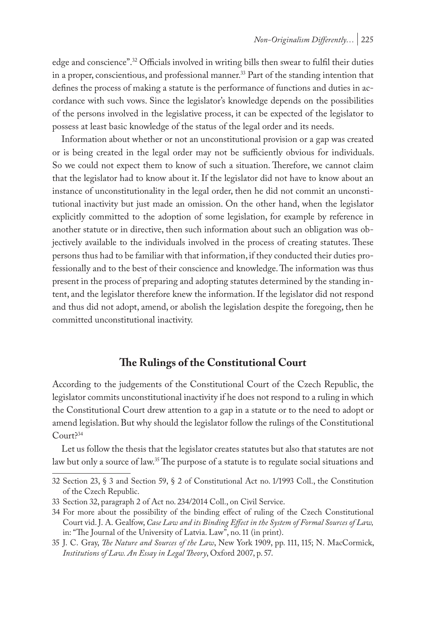edge and conscience".32 Officials involved in writing bills then swear to fulfil their duties in a proper, conscientious, and professional manner.<sup>33</sup> Part of the standing intention that defines the process of making a statute is the performance of functions and duties in accordance with such vows. Since the legislator's knowledge depends on the possibilities of the persons involved in the legislative process, it can be expected of the legislator to possess at least basic knowledge of the status of the legal order and its needs.

Information about whether or not an unconstitutional provision or a gap was created or is being created in the legal order may not be sufficiently obvious for individuals. So we could not expect them to know of such a situation. Therefore, we cannot claim that the legislator had to know about it. If the legislator did not have to know about an instance of unconstitutionality in the legal order, then he did not commit an unconstitutional inactivity but just made an omission. On the other hand, when the legislator explicitly committed to the adoption of some legislation, for example by reference in another statute or in directive, then such information about such an obligation was objectively available to the individuals involved in the process of creating statutes. These persons thus had to be familiar with that information, if they conducted their duties professionally and to the best of their conscience and knowledge. The information was thus present in the process of preparing and adopting statutes determined by the standing intent, and the legislator therefore knew the information. If the legislator did not respond and thus did not adopt, amend, or abolish the legislation despite the foregoing, then he committed unconstitutional inactivity.

# **The Rulings of the Constitutional Court**

According to the judgements of the Constitutional Court of the Czech Republic, the legislator commits unconstitutional inactivity if he does not respond to a ruling in which the Constitutional Court drew attention to a gap in a statute or to the need to adopt or amend legislation. But why should the legislator follow the rulings of the Constitutional Court?<sup>34</sup>

Let us follow the thesis that the legislator creates statutes but also that statutes are not law but only a source of law.<sup>35</sup> The purpose of a statute is to regulate social situations and

<sup>32</sup> Section 23, § 3 and Section 59, § 2 of Constitutional Act no. 1/1993 Coll., the Constitution of the Czech Republic.

<sup>33</sup> Section 32, paragraph 2 of Act no. 234/2014 Coll., on Civil Service.

<sup>34</sup> For more about the possibility of the binding effect of ruling of the Czech Constitutional Court vid. J. A. Gealfow, *Case Law and its Binding Effect in the System of Formal Sources of Law,* in: "The Journal of the University of Latvia. Law", no. 11 (in print).

<sup>35</sup> J. C. Gray, *The Nature and Sources of the Law*, New York 1909, pp. 111, 115; N. MacCormick, *Institutions of Law. An Essay in Legal Theory*, Oxford 2007, p. 57.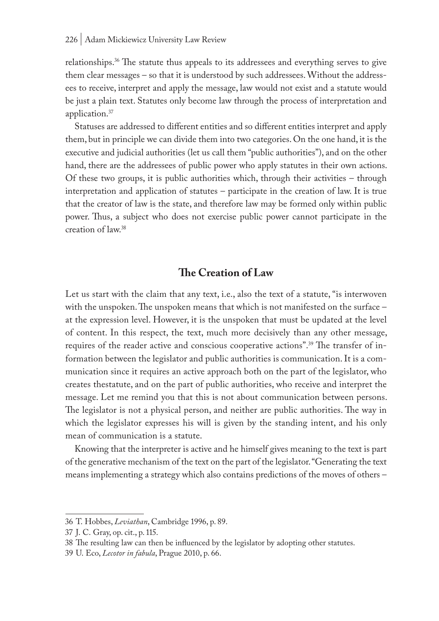relationships.36 The statute thus appeals to its addressees and everything serves to give them clear messages – so that it is understood by such addressees. Without the addressees to receive, interpret and apply the message, law would not exist and a statute would be just a plain text. Statutes only become law through the process of interpretation and application.37

Statuses are addressed to different entities and so different entities interpret and apply them, but in principle we can divide them into two categories. On the one hand, it is the executive and judicial authorities (let us call them "public authorities"), and on the other hand, there are the addressees of public power who apply statutes in their own actions. Of these two groups, it is public authorities which, through their activities – through interpretation and application of statutes – participate in the creation of law. It is true that the creator of law is the state, and therefore law may be formed only within public power. Thus, a subject who does not exercise public power cannot participate in the creation of law.38

# **The Creation of Law**

Let us start with the claim that any text, i.e., also the text of a statute, "is interwoven with the unspoken. The unspoken means that which is not manifested on the surface – at the expression level. However, it is the unspoken that must be updated at the level of content. In this respect, the text, much more decisively than any other message, requires of the reader active and conscious cooperative actions".39 The transfer of information between the legislator and public authorities is communication. It is a communication since it requires an active approach both on the part of the legislator, who creates thestatute, and on the part of public authorities, who receive and interpret the message. Let me remind you that this is not about communication between persons. The legislator is not a physical person, and neither are public authorities. The way in which the legislator expresses his will is given by the standing intent, and his only mean of communication is a statute.

Knowing that the interpreter is active and he himself gives meaning to the text is part of the generative mechanism of the text on the part of the legislator. "Generating the text means implementing a strategy which also contains predictions of the moves of others –

<sup>36</sup> T. Hobbes, *Leviathan*, Cambridge 1996, p. 89.

<sup>37</sup> J. C. Gray, op. cit., p. 115.

<sup>38</sup> The resulting law can then be influenced by the legislator by adopting other statutes.

<sup>39</sup> U. Eco, *Lecotor in fabula*, Prague 2010, p. 66.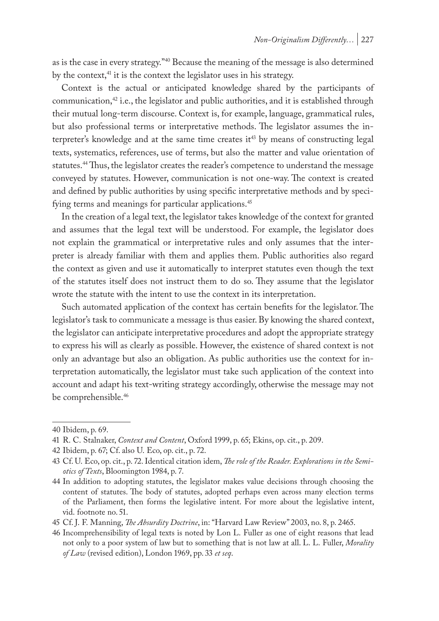as is the case in every strategy.<sup>"40</sup> Because the meaning of the message is also determined by the context,<sup>41</sup> it is the context the legislator uses in his strategy.

Context is the actual or anticipated knowledge shared by the participants of communication, $42$  i.e., the legislator and public authorities, and it is established through their mutual long-term discourse. Context is, for example, language, grammatical rules, but also professional terms or interpretative methods. The legislator assumes the interpreter's knowledge and at the same time creates it<sup>43</sup> by means of constructing legal texts, systematics, references, use of terms, but also the matter and value orientation of statutes.<sup>44</sup> Thus, the legislator creates the reader's competence to understand the message conveyed by statutes. However, communication is not one-way. The context is created and defined by public authorities by using specific interpretative methods and by specifying terms and meanings for particular applications.<sup>45</sup>

In the creation of a legal text, the legislator takes knowledge of the context for granted and assumes that the legal text will be understood. For example, the legislator does not explain the grammatical or interpretative rules and only assumes that the interpreter is already familiar with them and applies them. Public authorities also regard the context as given and use it automatically to interpret statutes even though the text of the statutes itself does not instruct them to do so. They assume that the legislator wrote the statute with the intent to use the context in its interpretation.

Such automated application of the context has certain benefits for the legislator. The legislator's task to communicate a message is thus easier. By knowing the shared context, the legislator can anticipate interpretative procedures and adopt the appropriate strategy to express his will as clearly as possible. However, the existence of shared context is not only an advantage but also an obligation. As public authorities use the context for interpretation automatically, the legislator must take such application of the context into account and adapt his text-writing strategy accordingly, otherwise the message may not be comprehensible.<sup>46</sup>

<sup>40</sup> Ibidem, p. 69.

<sup>41</sup> R. C. Stalnaker, *Context and Content*, Oxford 1999, p. 65; Ekins, op. cit., p. 209.

<sup>42</sup> Ibidem, p. 67; Cf. also U. Eco, op. cit., p. 72.

<sup>43</sup> Cf. U. Eco, op. cit., p. 72. Identical citation idem, *The role of the Reader. Explorations in the Semiotics of Texts*, Bloomington 1984, p. 7.

<sup>44</sup> In addition to adopting statutes, the legislator makes value decisions through choosing the content of statutes. The body of statutes, adopted perhaps even across many election terms of the Parliament, then forms the legislative intent. For more about the legislative intent, vid. footnote no. 51.

<sup>45</sup> Cf. J. F. Manning, *The Absurdity Doctrine*, in: "Harvard Law Review" 2003, no. 8, p. 2465.

<sup>46</sup> Incomprehensibility of legal texts is noted by Lon L. Fuller as one of eight reasons that lead not only to a poor system of law but to something that is not law at all. L. L. Fuller, *Morality of Law* (revised edition), London 1969, pp. 33 *et seq*.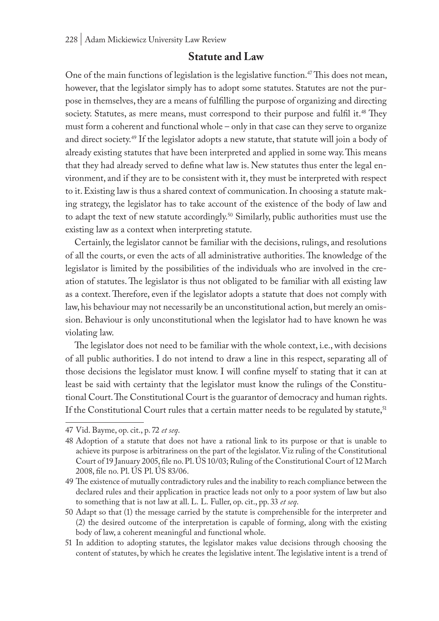## **Statute and Law**

One of the main functions of legislation is the legislative function.47 This does not mean, however, that the legislator simply has to adopt some statutes. Statutes are not the purpose in themselves, they are a means of fulfilling the purpose of organizing and directing society. Statutes, as mere means, must correspond to their purpose and fulfil it.<sup>48</sup> They must form a coherent and functional whole – only in that case can they serve to organize and direct society.<sup>49</sup> If the legislator adopts a new statute, that statute will join a body of already existing statutes that have been interpreted and applied in some way. This means that they had already served to define what law is. New statutes thus enter the legal environment, and if they are to be consistent with it, they must be interpreted with respect to it. Existing law is thus a shared context of communication. In choosing a statute making strategy, the legislator has to take account of the existence of the body of law and to adapt the text of new statute accordingly.<sup>50</sup> Similarly, public authorities must use the existing law as a context when interpreting statute.

Certainly, the legislator cannot be familiar with the decisions, rulings, and resolutions of all the courts, or even the acts of all administrative authorities. The knowledge of the legislator is limited by the possibilities of the individuals who are involved in the creation of statutes. The legislator is thus not obligated to be familiar with all existing law as a context. Therefore, even if the legislator adopts a statute that does not comply with law, his behaviour may not necessarily be an unconstitutional action, but merely an omission. Behaviour is only unconstitutional when the legislator had to have known he was violating law.

The legislator does not need to be familiar with the whole context, i.e., with decisions of all public authorities. I do not intend to draw a line in this respect, separating all of those decisions the legislator must know. I will confine myself to stating that it can at least be said with certainty that the legislator must know the rulings of the Constitutional Court. The Constitutional Court is the guarantor of democracy and human rights. If the Constitutional Court rules that a certain matter needs to be regulated by statute,<sup>51</sup>

<sup>47</sup> Vid. Bayme, op. cit., p. 72 *et seq*.

<sup>48</sup> Adoption of a statute that does not have a rational link to its purpose or that is unable to achieve its purpose is arbitrariness on the part of the legislator. Viz ruling of the Constitutional Court of 19 January 2005, file no. Pl. ÚS 10/03; Ruling of the Constitutional Court of 12 March 2008, file no. Pl. ÚS Pl. ÚS 83/06.

<sup>49</sup> The existence of mutually contradictory rules and the inability to reach compliance between the declared rules and their application in practice leads not only to a poor system of law but also to something that is not law at all. L. L. Fuller, op. cit., pp. 33 *et seq*.

<sup>50</sup> Adapt so that (1) the message carried by the statute is comprehensible for the interpreter and (2) the desired outcome of the interpretation is capable of forming, along with the existing body of law, a coherent meaningful and functional whole.

<sup>51</sup> In addition to adopting statutes, the legislator makes value decisions through choosing the content of statutes, by which he creates the legislative intent. The legislative intent is a trend of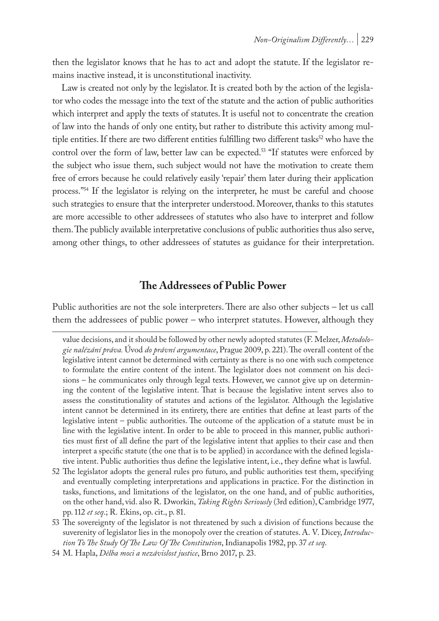then the legislator knows that he has to act and adopt the statute. If the legislator remains inactive instead, it is unconstitutional inactivity.

Law is created not only by the legislator. It is created both by the action of the legislator who codes the message into the text of the statute and the action of public authorities which interpret and apply the texts of statutes. It is useful not to concentrate the creation of law into the hands of only one entity, but rather to distribute this activity among multiple entities. If there are two different entities fulfilling two different tasks<sup>52</sup> who have the control over the form of law, better law can be expected.<sup>53</sup> "If statutes were enforced by the subject who issue them, such subject would not have the motivation to create them free of errors because he could relatively easily 'repair' them later during their application process."<sup>54</sup> If the legislator is relying on the interpreter, he must be careful and choose such strategies to ensure that the interpreter understood. Moreover, thanks to this statutes are more accessible to other addressees of statutes who also have to interpret and follow them. The publicly available interpretative conclusions of public authorities thus also serve, among other things, to other addressees of statutes as guidance for their interpretation.

# **The Addressees of Public Power**

Public authorities are not the sole interpreters. There are also other subjects – let us call them the addressees of public power – who interpret statutes. However, although they

52 The legislator adopts the general rules pro futuro, and public authorities test them, specifying and eventually completing interpretations and applications in practice. For the distinction in tasks, functions, and limitations of the legislator, on the one hand, and of public authorities, on the other hand, vid. also R. Dworkin, *Taking Rights Seriously* (3rd edition), Cambridge 1977, pp. 112 *et seq*.; R. Ekins, op. cit., p. 81.

value decisions, and it should be followed by other newly adopted statutes (F. Melzer, *Metodologie nalézání práva.* Úvod *do právní argumentace*, Prague 2009, p. 221). The overall content of the legislative intent cannot be determined with certainty as there is no one with such competence to formulate the entire content of the intent. The legislator does not comment on his decisions – he communicates only through legal texts. However, we cannot give up on determining the content of the legislative intent. That is because the legislative intent serves also to assess the constitutionality of statutes and actions of the legislator. Although the legislative intent cannot be determined in its entirety, there are entities that define at least parts of the legislative intent – public authorities. The outcome of the application of a statute must be in line with the legislative intent. In order to be able to proceed in this manner, public authorities must first of all define the part of the legislative intent that applies to their case and then interpret a specific statute (the one that is to be applied) in accordance with the defined legislative intent. Public authorities thus define the legislative intent, i.e., they define what is lawful.

<sup>53</sup> The sovereignty of the legislator is not threatened by such a division of functions because the suverenity of legislator lies in the monopoly over the creation of statutes. A. V. Dicey, *Introduction To The Study Of The Law Of The Constitution*, Indianapolis 1982, pp. 37 *et seq*.

<sup>54</sup> M. Hapla, *Dělba moci a nezávislost justice*, Brno 2017, p. 23.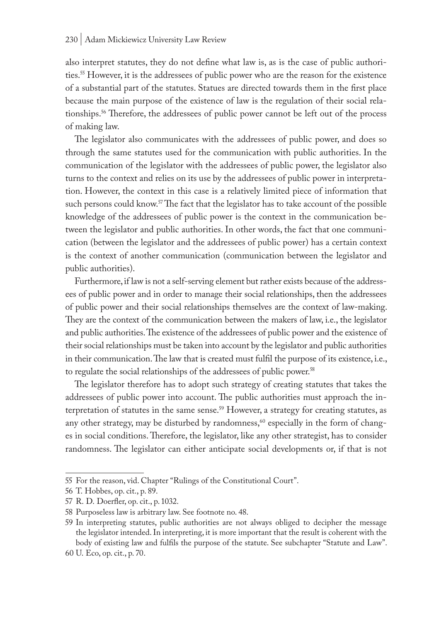also interpret statutes, they do not define what law is, as is the case of public authorities.55 However, it is the addressees of public power who are the reason for the existence of a substantial part of the statutes. Statues are directed towards them in the first place because the main purpose of the existence of law is the regulation of their social relationships.56 Therefore, the addressees of public power cannot be left out of the process of making law.

The legislator also communicates with the addressees of public power, and does so through the same statutes used for the communication with public authorities. In the communication of the legislator with the addressees of public power, the legislator also turns to the context and relies on its use by the addressees of public power in interpretation. However, the context in this case is a relatively limited piece of information that such persons could know.<sup>57</sup> The fact that the legislator has to take account of the possible knowledge of the addressees of public power is the context in the communication between the legislator and public authorities. In other words, the fact that one communication (between the legislator and the addressees of public power) has a certain context is the context of another communication (communication between the legislator and public authorities).

Furthermore, if law is not a self-serving element but rather exists because of the addressees of public power and in order to manage their social relationships, then the addressees of public power and their social relationships themselves are the context of law-making. They are the context of the communication between the makers of law, i.e., the legislator and public authorities. The existence of the addressees of public power and the existence of their social relationships must be taken into account by the legislator and public authorities in their communication. The law that is created must fulfil the purpose of its existence, i.e., to regulate the social relationships of the addressees of public power.<sup>58</sup>

The legislator therefore has to adopt such strategy of creating statutes that takes the addressees of public power into account. The public authorities must approach the interpretation of statutes in the same sense.<sup>59</sup> However, a strategy for creating statutes, as any other strategy, may be disturbed by randomness,<sup>60</sup> especially in the form of changes in social conditions. Therefore, the legislator, like any other strategist, has to consider randomness. The legislator can either anticipate social developments or, if that is not

<sup>55</sup> For the reason, vid. Chapter "Rulings of the Constitutional Court".

<sup>56</sup> T. Hobbes, op. cit., p. 89.

<sup>57</sup> R. D. Doerfler, op. cit., p. 1032.

<sup>58</sup> Purposeless law is arbitrary law. See footnote no. 48.

<sup>59</sup> In interpreting statutes, public authorities are not always obliged to decipher the message the legislator intended. In interpreting, it is more important that the result is coherent with the body of existing law and fulfils the purpose of the statute. See subchapter "Statute and Law".

<sup>60</sup> U. Eco, op. cit., p. 70.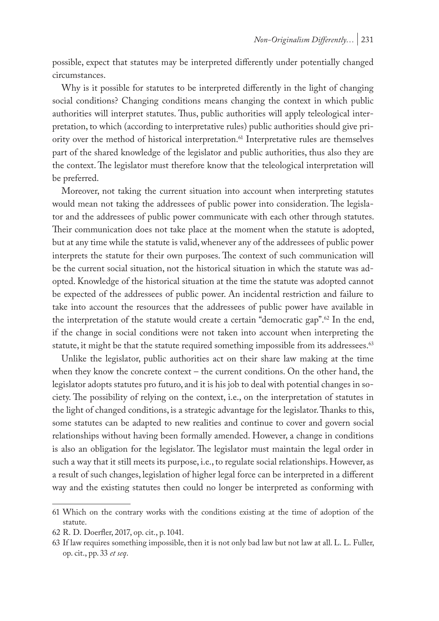possible, expect that statutes may be interpreted differently under potentially changed circumstances.

Why is it possible for statutes to be interpreted differently in the light of changing social conditions? Changing conditions means changing the context in which public authorities will interpret statutes. Thus, public authorities will apply teleological interpretation, to which (according to interpretative rules) public authorities should give priority over the method of historical interpretation.<sup>61</sup> Interpretative rules are themselves part of the shared knowledge of the legislator and public authorities, thus also they are the context. The legislator must therefore know that the teleological interpretation will be preferred.

Moreover, not taking the current situation into account when interpreting statutes would mean not taking the addressees of public power into consideration. The legislator and the addressees of public power communicate with each other through statutes. Their communication does not take place at the moment when the statute is adopted, but at any time while the statute is valid, whenever any of the addressees of public power interprets the statute for their own purposes. The context of such communication will be the current social situation, not the historical situation in which the statute was adopted. Knowledge of the historical situation at the time the statute was adopted cannot be expected of the addressees of public power. An incidental restriction and failure to take into account the resources that the addressees of public power have available in the interpretation of the statute would create a certain "democratic gap".<sup>62</sup> In the end, if the change in social conditions were not taken into account when interpreting the statute, it might be that the statute required something impossible from its addressees.<sup>63</sup>

Unlike the legislator, public authorities act on their share law making at the time when they know the concrete context – the current conditions. On the other hand, the legislator adopts statutes pro futuro, and it is his job to deal with potential changes in society. The possibility of relying on the context, i.e., on the interpretation of statutes in the light of changed conditions, is a strategic advantage for the legislator. Thanks to this, some statutes can be adapted to new realities and continue to cover and govern social relationships without having been formally amended. However, a change in conditions is also an obligation for the legislator. The legislator must maintain the legal order in such a way that it still meets its purpose, i.e., to regulate social relationships. However, as a result of such changes, legislation of higher legal force can be interpreted in a different way and the existing statutes then could no longer be interpreted as conforming with

<sup>61</sup> Which on the contrary works with the conditions existing at the time of adoption of the statute.

<sup>62</sup> R. D. Doerfler, 2017, op. cit., p. 1041.

<sup>63</sup> If law requires something impossible, then it is not only bad law but not law at all. L. L. Fuller, op. cit., pp. 33 *et seq*.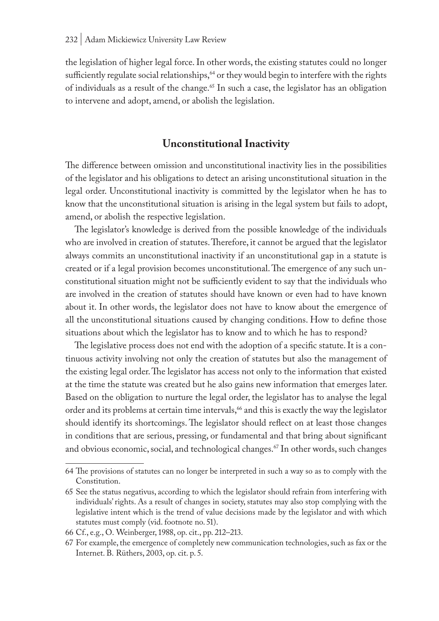the legislation of higher legal force. In other words, the existing statutes could no longer sufficiently regulate social relationships, $64$  or they would begin to interfere with the rights of individuals as a result of the change.<sup>65</sup> In such a case, the legislator has an obligation to intervene and adopt, amend, or abolish the legislation.

# **Unconstitutional Inactivity**

The difference between omission and unconstitutional inactivity lies in the possibilities of the legislator and his obligations to detect an arising unconstitutional situation in the legal order. Unconstitutional inactivity is committed by the legislator when he has to know that the unconstitutional situation is arising in the legal system but fails to adopt, amend, or abolish the respective legislation.

The legislator's knowledge is derived from the possible knowledge of the individuals who are involved in creation of statutes. Therefore, it cannot be argued that the legislator always commits an unconstitutional inactivity if an unconstitutional gap in a statute is created or if a legal provision becomes unconstitutional. The emergence of any such unconstitutional situation might not be sufficiently evident to say that the individuals who are involved in the creation of statutes should have known or even had to have known about it. In other words, the legislator does not have to know about the emergence of all the unconstitutional situations caused by changing conditions. How to define those situations about which the legislator has to know and to which he has to respond?

The legislative process does not end with the adoption of a specific statute. It is a continuous activity involving not only the creation of statutes but also the management of the existing legal order. The legislator has access not only to the information that existed at the time the statute was created but he also gains new information that emerges later. Based on the obligation to nurture the legal order, the legislator has to analyse the legal order and its problems at certain time intervals,<sup>66</sup> and this is exactly the way the legislator should identify its shortcomings. The legislator should reflect on at least those changes in conditions that are serious, pressing, or fundamental and that bring about significant and obvious economic, social, and technological changes.<sup>67</sup> In other words, such changes

<sup>64</sup> The provisions of statutes can no longer be interpreted in such a way so as to comply with the Constitution.

<sup>65</sup> See the status negativus, according to which the legislator should refrain from interfering with individuals' rights. As a result of changes in society, statutes may also stop complying with the legislative intent which is the trend of value decisions made by the legislator and with which statutes must comply (vid. footnote no. 51).

<sup>66</sup> Cf., e.g., O. Weinberger, 1988, op. cit., pp. 212–213.

<sup>67</sup> For example, the emergence of completely new communication technologies, such as fax or the Internet. B. Rüthers, 2003, op. cit. p. 5.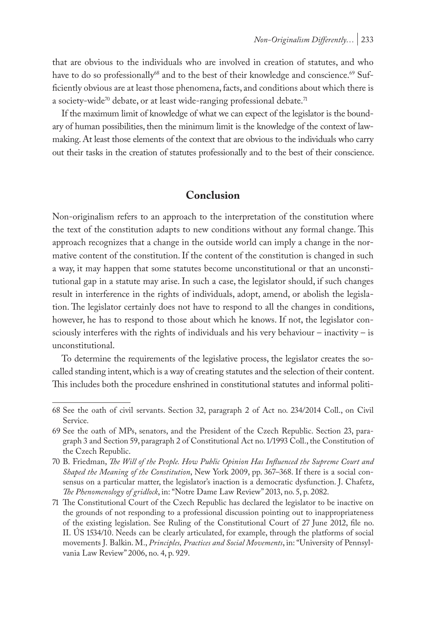that are obvious to the individuals who are involved in creation of statutes, and who have to do so professionally<sup>68</sup> and to the best of their knowledge and conscience.<sup>69</sup> Sufficiently obvious are at least those phenomena, facts, and conditions about which there is a society-wide<sup>70</sup> debate, or at least wide-ranging professional debate.<sup>71</sup>

If the maximum limit of knowledge of what we can expect of the legislator is the boundary of human possibilities, then the minimum limit is the knowledge of the context of lawmaking. At least those elements of the context that are obvious to the individuals who carry out their tasks in the creation of statutes professionally and to the best of their conscience.

# **Conclusion**

Non-originalism refers to an approach to the interpretation of the constitution where the text of the constitution adapts to new conditions without any formal change. This approach recognizes that a change in the outside world can imply a change in the normative content of the constitution. If the content of the constitution is changed in such a way, it may happen that some statutes become unconstitutional or that an unconstitutional gap in a statute may arise. In such a case, the legislator should, if such changes result in interference in the rights of individuals, adopt, amend, or abolish the legislation. The legislator certainly does not have to respond to all the changes in conditions, however, he has to respond to those about which he knows. If not, the legislator consciously interferes with the rights of individuals and his very behaviour – inactivity – is unconstitutional.

To determine the requirements of the legislative process, the legislator creates the socalled standing intent, which is a way of creating statutes and the selection of their content. This includes both the procedure enshrined in constitutional statutes and informal politi-

<sup>68</sup> See the oath of civil servants. Section 32, paragraph 2 of Act no. 234/2014 Coll., on Civil Service.

<sup>69</sup> See the oath of MPs, senators, and the President of the Czech Republic. Section 23, paragraph 3 and Section 59, paragraph 2 of Constitutional Act no. 1/1993 Coll., the Constitution of the Czech Republic.

<sup>70</sup> B. Friedman, *The Will of the People. How Public Opinion Has Influenced the Supreme Court and Shaped the Meaning of the Constitution*, New York 2009, pp. 367–368. If there is a social consensus on a particular matter, the legislator's inaction is a democratic dysfunction. J. Chafetz, *The Phenomenology of gridlock*, in: "Notre Dame Law Review" 2013, no. 5, p. 2082.

<sup>71</sup> The Constitutional Court of the Czech Republic has declared the legislator to be inactive on the grounds of not responding to a professional discussion pointing out to inappropriateness of the existing legislation. See Ruling of the Constitutional Court of 27 June 2012, file no. II. ÚS 1534/10. Needs can be clearly articulated, for example, through the platforms of social movements J. Balkin. M., *Principles, Practices and Social Movements*, in: "University of Pennsylvania Law Review" 2006, no. 4, p. 929.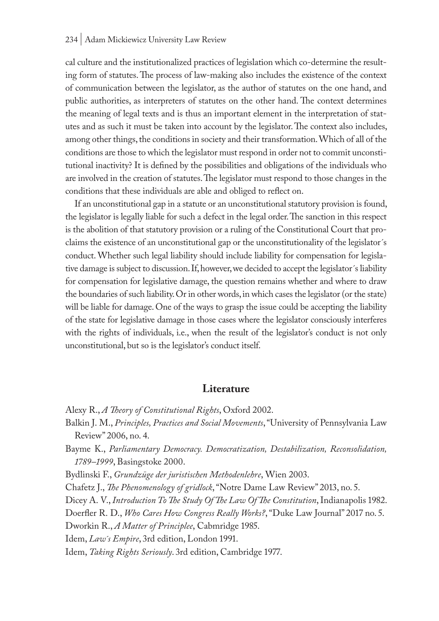#### 234 | Adam Mickiewicz University Law Review

cal culture and the institutionalized practices of legislation which co-determine the resulting form of statutes. The process of law-making also includes the existence of the context of communication between the legislator, as the author of statutes on the one hand, and public authorities, as interpreters of statutes on the other hand. The context determines the meaning of legal texts and is thus an important element in the interpretation of statutes and as such it must be taken into account by the legislator. The context also includes, among other things, the conditions in society and their transformation. Which of all of the conditions are those to which the legislator must respond in order not to commit unconstitutional inactivity? It is defined by the possibilities and obligations of the individuals who are involved in the creation of statutes. The legislator must respond to those changes in the conditions that these individuals are able and obliged to reflect on.

If an unconstitutional gap in a statute or an unconstitutional statutory provision is found, the legislator is legally liable for such a defect in the legal order. The sanction in this respect is the abolition of that statutory provision or a ruling of the Constitutional Court that proclaims the existence of an unconstitutional gap or the unconstitutionality of the legislator´s conduct. Whether such legal liability should include liability for compensation for legislative damage is subject to discussion. If, however, we decided to accept the legislator´s liability for compensation for legislative damage, the question remains whether and where to draw the boundaries of such liability. Or in other words, in which cases the legislator (or the state) will be liable for damage. One of the ways to grasp the issue could be accepting the liability of the state for legislative damage in those cases where the legislator consciously interferes with the rights of individuals, i.e., when the result of the legislator's conduct is not only unconstitutional, but so is the legislator's conduct itself.

#### **Literature**

- Alexy R., *A Theory of Constitutional Rights*, Oxford 2002.
- Balkin J. M., *Principles, Practices and Social Movements*, "University of Pennsylvania Law Review" 2006, no. 4.

Bayme K., *Parliamentary Democracy. Democratization, Destabilization, Reconsolidation, 1789–1999*, Basingstoke 2000.

Bydlinski F., *Grundzüge der juristischen Methodenlehre*, Wien 2003.

Chafetz J., *The Phenomenology of gridlock*, "Notre Dame Law Review" 2013, no. 5.

Dicey A. V., *Introduction To The Study Of The Law Of The Constitution*, Indianapolis 1982.

Doerfler R. D., *Who Cares How Congress Really Works?*, "Duke Law Journal" 2017 no. 5.

Dworkin R., *A Matter of Principlee*, Cabmridge 1985.

Idem, *Law´s Empire*, 3rd edition, London 1991.

Idem, *Taking Rights Seriously*. 3rd edition, Cambridge 1977.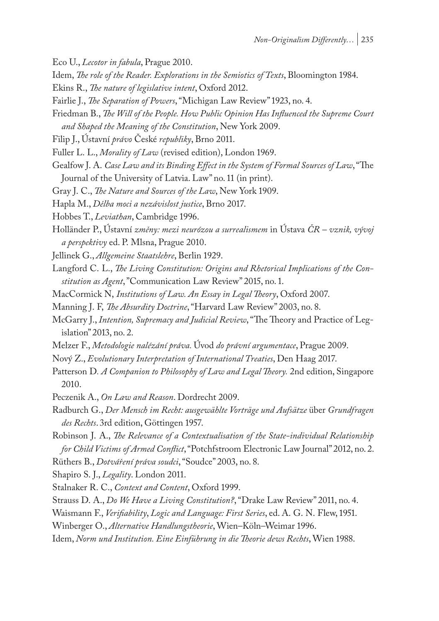- Eco U., *Lecotor in fabula*, Prague 2010.
- Idem, *The role of the Reader. Explorations in the Semiotics of Texts*, Bloomington 1984.
- Ekins R., *The nature of legislative intent*, Oxford 2012.
- Fairlie J., *The Separation of Powers*, "Michigan Law Review" 1923, no. 4.
- Friedman B., *The Will of the People. How Public Opinion Has Influenced the Supreme Court and Shaped the Meaning of the Constitution*, New York 2009.
- Filip J., Ústavní *právo* České *republiky*, Brno 2011.
- Fuller L. L., *Morality of Law* (revised edition), London 1969.
- Gealfow J. A. *Case Law and its Binding Effect in the System of Formal Sources of Law*, "The Journal of the University of Latvia. Law" no. 11 (in print).
- Gray J. C., *The Nature and Sources of the Law*, New York 1909.
- Hapla M., *Dělba moci a nezávislost justice*, Brno 2017.
- Hobbes T., *Leviathan*, Cambridge 1996.
- Holländer P., Ústavní *změny: mezi neurózou a surrealismem* in Ústava *ČR vznik, vývoj a perspektivy* ed. P. Mlsna, Prague 2010.
- Jellinek G., *Allgemeine Staatslehre*, Berlin 1929.
- Langford C. L., *The Living Constitution: Origins and Rhetorical Implications of the Constitution as Agent*, "Communication Law Review" 2015, no. 1.
- MacCormick N, *Institutions of Law. An Essay in Legal Theory*, Oxford 2007.
- Manning J. F, *The Absurdity Doctrine*, "Harvard Law Review" 2003, no. 8.
- McGarry J., *Intention, Supremacy and Judicial Review*, "The Theory and Practice of Legislation" 2013, no. 2.
- Melzer F., *Metodologie nalézání práva.* Úvod *do právní argumentace*, Prague 2009.
- Nový Z., *Evolutionary Interpretation of International Treaties*, Den Haag 2017.
- Patterson D*. A Companion to Philosophy of Law and Legal Theory.* 2nd edition, Singapore 2010.
- Peczenik A., *On Law and Reason*. Dordrecht 2009.
- Radburch G., *Der Mensch im Recht: ausgewählte Vorträge und Aufsätze* über *Grundfragen des Rechts*. 3rd edition, Göttingen 1957.
- Robinson J. A., *The Relevance of a Contextualisation of the State-individual Relationship for Child Victims of Armed Conflict*, "Potchfstroom Electronic Law Journal" 2012, no. 2.
- Rüthers B., *Dotváření práva soudci*, "Soudce" 2003, no. 8.

Shapiro S. J., *Legality*. London 2011.

- Stalnaker R. C., *Context and Content*, Oxford 1999.
- Strauss D. A., *Do We Have a Living Constitution?*, "Drake Law Review" 2011, no. 4.
- Waismann F., *Verifiability*, *Logic and Language: First Series*, ed. A. G. N. Flew, 1951.
- Winberger O., *Alternative Handlungstheorie*, Wien–Köln–Weimar 1996.
- Idem, *Norm und Institution. Eine Einführung in die Theorie dews Rechts*, Wien 1988.